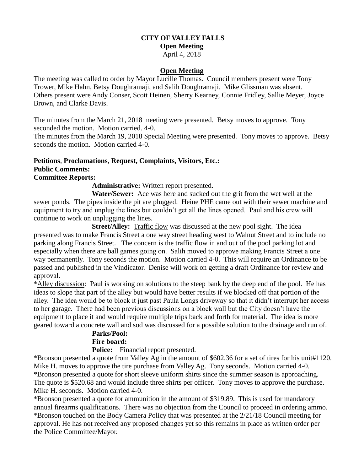## **CITY OF VALLEY FALLS Open Meeting**

## April 4, 2018

#### **Open Meeting**

The meeting was called to order by Mayor Lucille Thomas. Council members present were Tony Trower, Mike Hahn, Betsy Doughramaji, and Salih Doughramaji. Mike Glissman was absent. Others present were Andy Conser, Scott Heinen, Sherry Kearney, Connie Fridley, Sallie Meyer, Joyce Brown, and Clarke Davis.

The minutes from the March 21, 2018 meeting were presented. Betsy moves to approve. Tony seconded the motion. Motion carried. 4-0.

The minutes from the March 19, 2018 Special Meeting were presented. Tony moves to approve. Betsy seconds the motion. Motion carried 4-0.

# **Petitions**, **Proclamations**, **Request, Complaints, Visitors, Etc.: Public Comments:**

### **Committee Reports:**

**Administrative:** Written report presented.

 **Water/Sewer:** Ace was here and sucked out the grit from the wet well at the sewer ponds. The pipes inside the pit are plugged. Heine PHE came out with their sewer machine and equipment to try and unplug the lines but couldn't get all the lines opened. Paul and his crew will continue to work on unplugging the lines.

**Street/Alley:** Traffic flow was discussed at the new pool sight. The idea presented was to make Francis Street a one way street heading west to Walnut Street and to include no parking along Francis Street. The concern is the traffic flow in and out of the pool parking lot and especially when there are ball games going on. Salih moved to approve making Francis Street a one way permanently. Tony seconds the motion. Motion carried 4-0. This will require an Ordinance to be passed and published in the Vindicator. Denise will work on getting a draft Ordinance for review and approval.

\*Alley discussion: Paul is working on solutions to the steep bank by the deep end of the pool. He has ideas to slope that part of the alley but would have better results if we blocked off that portion of the alley. The idea would be to block it just past Paula Longs driveway so that it didn't interrupt her access to her garage. There had been previous discussions on a block wall but the City doesn't have the equipment to place it and would require multiple trips back and forth for material. The idea is more geared toward a concrete wall and sod was discussed for a possible solution to the drainage and run of.

#### **Parks/Pool: Fire board:**

**Police:** Financial report presented.

\*Bronson presented a quote from Valley Ag in the amount of \$602.36 for a set of tires for his unit#1120. Mike H. moves to approve the tire purchase from Valley Ag. Tony seconds. Motion carried 4-0. \*Bronson presented a quote for short sleeve uniform shirts since the summer season is approaching. The quote is \$520.68 and would include three shirts per officer. Tony moves to approve the purchase. Mike H. seconds. Motion carried 4-0.

\*Bronson presented a quote for ammunition in the amount of \$319.89. This is used for mandatory annual firearms qualifications. There was no objection from the Council to proceed in ordering ammo. \*Bronson touched on the Body Camera Policy that was presented at the 2/21/18 Council meeting for approval. He has not received any proposed changes yet so this remains in place as written order per the Police Committee/Mayor.